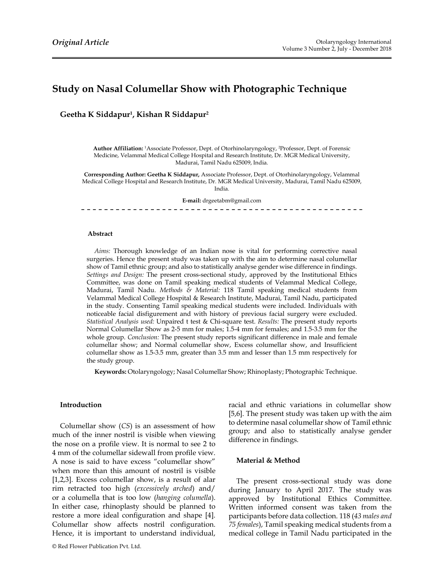## Study on Nasal Columellar Show with Photographic Technique

Geetha K Siddapur<sup>1</sup>, Kishan R Siddapur<sup>2</sup>

Author Affiliation: <sup>1</sup>Associate Professor, Dept. of Otorhinolaryngology, <sup>2</sup>Professor, Dept. of Forensic Medicine, Velammal Medical College Hospital and Research Institute, Dr. MGR Medical University, Madurai, Tamil Nadu 625009, India.

Corresponding Author: Geetha K Siddapur, Associate Professor, Dept. of Otorhinolaryngology, Velammal Medical College Hospital and Research Institute, Dr. MGR Medical University, Madurai, Tamil Nadu 625009, India.

E-mail: drgeetabm@gmail.com

#### **Abstract**

Aims: Thorough knowledge of an Indian nose is vital for performing corrective nasal surgeries. Hence the present study was taken up with the aim to determine nasal columellar show of Tamil ethnic group; and also to statistically analyse gender wise difference in findings. Settings and Design: The present cross-sectional study, approved by the Institutional Ethics Committee, was done on Tamil speaking medical students of Velammal Medical College, Madurai, Tamil Nadu. Methods & Material: 118 Tamil speaking medical students from Velammal Medical College Hospital & Research Institute, Madurai, Tamil Nadu, participated in the study. Consenting Tamil speaking medical students were included. Individuals with noticeable facial disfigurement and with history of previous facial surgery were excluded. Statistical Analysis used: Unpaired t test & Chi-square test. Results: The present study reports Normal Columellar Show as 2-5 mm for males; 1.5-4 mm for females; and 1.5-3.5 mm for the whole group. Conclusion: The present study reports significant difference in male and female columellar show; and Normal columellar show, Excess columellar show, and Insufficient columellar show as  $1.5-3.5$  mm, greater than  $3.5$  mm and lesser than  $1.5$  mm respectively for the study group.

Keywords: Otolaryngology; Nasal Columellar Show; Rhinoplasty; Photographic Technique.

#### Introduction

Columellar show  $(CS)$  is an assessment of how much of the inner nostril is visible when viewing the nose on a profile view. It is normal to see 2 to 4 mm of the columellar sidewall from profile view. A nose is said to have excess "columellar show" when more than this amount of nostril is visible [1,2,3]. Excess columellar show, is a result of alar rim retracted too high (excessively arched) and/ or a columella that is too low (hanging columella). In either case, rhinoplasty should be planned to restore a more ideal configuration and shape [4]. Columellar show affects nostril configuration. Hence, it is important to understand individual,

racial and ethnic variations in columellar show [5,6]. The present study was taken up with the aim to determine nasal columellar show of Tamil ethnic group; and also to statistically analyse gender difference in findings.

#### Material & Method

The present cross-sectional study was done during January to April 2017. The study was approved by Institutional Ethics Committee. Written informed consent was taken from the participants before data collection. 118 (43 males and 75 females), Tamil speaking medical students from a medical college in Tamil Nadu participated in the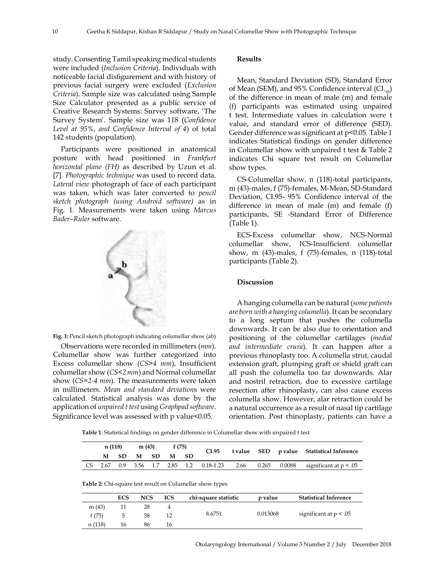study. Consenting Tamil speaking medical students were included (Inclusion Criteria). Individuals with noticeable facial disfigurement and with history of previous facial surgery were excluded (Exclusion Criteria). Sample size was calculated using Sample Size Calculator presented as a public service of Creative Research Systems: Survey software, 'The Survey System'. Sample size was 118 (Confidence Level at 95%, and Confidence Interval of 4) of total 142 students (population).

Participants were positioned in anatomical posture with head positioned in Frankfurt horizontal plane (FH) as described by Uzun et al. [7]. Photographic technique was used to record data. Lateral view photograph of face of each participant was taken, which was later converted to pencil sketch photograph (using Android software) as in Fig. 1. Measurements were taken using Marcus Bader-Ruler software.





Observations were recorded in millimeters  $(mm)$ . Columellar show was further categorized into Excess columellar show  $(CS>4$  mm), Insufficient columellar show ( $CS < 2 \, mm$ ) and Normal columellar show  $(CS=2-4$  mm. The measurements were taken in millimeters. Mean and standard deviations were calculated. Statistical analysis was done by the application of unpaired t test using Graphpad software. Significance level was assessed with p value<0.05.

#### **Results**

Mean, Standard Deviation (SD), Standard Error of Mean (SEM), and 95% Confidence interval (CI.<sub>95</sub>) of the difference in mean of male  $(m)$  and female (f) participants was estimated using unpaired t test. Intermediate values in calculation were t value, and standard error of difference (SED). Gender difference was significant at  $p<0.05$ . Table 1 indicates Statistical findings on gender difference in Columellar show with unpaired  $t$  test  $&$  Table 2 indicates Chi square test result on Columellar show types.

CS-Columellar show, n (118)-total participants, m (43)-males, f (75)-females, M-Mean, SD-Standard Deviation, CI.95- 95% Confidence interval of the difference in mean of male  $(m)$  and female  $(f)$ participants, SE -Standard Error of Difference  $(Table 1).$ 

ECS-Excess columellar show, NCS-Normal columellar show, ICS-Insufficient columellar show, m  $(43)$ -males, f  $(75)$ -females, n  $(118)$ -total participants (Table 2).

#### Discussion

A hanging columella can be natural (some patients are born with a hanging columella). It can be secondary to a long septum that pushes the columella downwards. It can be also due to orientation and positioning of the columellar cartilages (medial and intermediate crura). It can happen after a previous rhinoplasty too. A columella strut, caudal extension graft, plumping graft or shield graft can all push the columella too far downwards. Alar and nostril retraction, due to excessive cartilage resection after rhinoplasty, can also cause excess columella show. However, alar retraction could be a natural occurrence as a result of nasal tip cartilage orientation. Post rhinoplasty, patients can have a

|           |      | n (118)    |            | m(43)     |                | f(75)     | CI.95                                                           | t value | <b>SED</b> | p value | <b>Statistical Inference</b> |
|-----------|------|------------|------------|-----------|----------------|-----------|-----------------------------------------------------------------|---------|------------|---------|------------------------------|
|           | М    | <b>SD</b>  | М          | <b>SD</b> | М              | <b>SD</b> |                                                                 |         |            |         |                              |
| <b>CS</b> | 2.67 | 0.9        | 3.56       | 1.7       | 2.85           | 1.2       | $0.18 - 1.23$                                                   | 2.66    | 0.265      | 0.0088  | significant at $p < .05$     |
|           |      |            |            |           |                |           | <b>Table 2:</b> Chi-square test result on Columellar show types |         |            |         |                              |
|           |      | <b>ECS</b> | <b>NCS</b> |           | <b>ICS</b>     |           | chi-square statistic                                            |         | p value    |         | <b>Statistical Inference</b> |
| m(43)     |      | 11         | 28         |           | $\overline{4}$ |           |                                                                 |         |            |         |                              |
| f(75)     |      | 5          | 58         |           | 12             |           | 8.6751                                                          |         | 0.013068   |         | significant at $p < .05$     |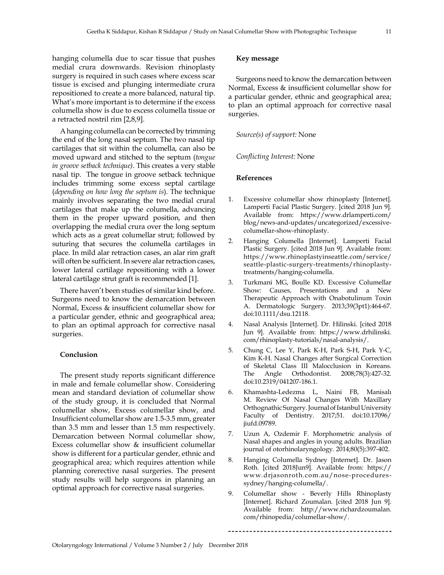hanging columella due to scar tissue that pushes medial crura downwards. Revision rhinoplasty surgery is required in such cases where excess scar tissue is excised and plunging intermediate crura repositioned to create a more balanced, natural tip. What's more important is to determine if the excess columella show is due to excess columella tissue or a retracted nostril rim [2,8,9].

A hanging columella can be corrected by trimming the end of the long nasal septum. The two nasal tip cartilages that sit within the columella, can also be moved upward and stitched to the septum (tongue in groove setback technique). This creates a very stable nasal tip. The tongue in groove setback technique includes trimming some excess septal cartilage (depending on how long the septum is). The technique mainly involves separating the two medial crural cartilages that make up the columella, advancing them in the proper upward position, and then overlapping the medial crura over the long septum which acts as a great columellar strut; followed by suturing that secures the columella cartilages in place. In mild alar retraction cases, an alar rim graft will often be sufficient. In severe alar retraction cases. lower lateral cartilage repositioning with a lower lateral cartilage strut graft is recommended [1].

There haven't been studies of similar kind before. Surgeons need to know the demarcation between Normal, Excess & insufficient columellar show for a particular gender, ethnic and geographical area; to plan an optimal approach for corrective nasal surgeries.

#### Conclusion

The present study reports significant difference in male and female columellar show. Considering mean and standard deviation of columellar show of the study group, it is concluded that Normal columellar show, Excess columellar show, and Insufficient columellar show are 1.5-3.5 mm, greater than 3.5 mm and lesser than 1.5 mm respectively. Demarcation between Normal columellar show, Excess columellar show & insufficient columellar show is different for a particular gender, ethnic and geographical area; which requires attention while planning corerective nasal surgeries. The present study results will help surgeons in planning an optimal approach for corrective nasal surgeries.

#### Key message

Surgeons need to know the demarcation between Normal, Excess & insufficient columellar show for a particular gender, ethnic and geographical area; to plan an optimal approach for corrective nasal surgeries.

Source(s) of support: None

Conflicting Interest: None

#### **References**

- Excessive columellar show rhinoplasty [Internet]. 1. Lamperti Facial Plastic Surgery. [cited 2018 Jun 9]. Available from: https://www.drlamperti.com/ blog/news-and-updates/uncategorized/excessivecolumellar-show-rhinoplasty.
- Hanging Columella [Internet]. Lamperti Facial  $2.$ Plastic Surgery. [cited 2018 Jun 9]. Available from: https://www.rhinoplastyinseattle.com/service/ seattle-plastic-surgery-treatments/rhinoplastytreatments/hanging-columella.
- Turkmani MG, Boulle KD. Excessive Columellar 3. Show: Causes, Presentations and a New Therapeutic Approach with Onabotulinum Toxin A. Dermatologic Surgery. 2013;39(3pt1):464-67. doi:10.1111/dsu.12118.
- Nasal Analysis [Internet]. Dr. Hilinski. [cited 2018 4. Jun 9]. Available from: https://www.drhilinski. com/rhinoplasty-tutorials/nasal-analysis/.
- 5. Chung C, Lee Y, Park K-H, Park S-H, Park Y-C, Kim K-H. Nasal Changes after Surgical Correction of Skeletal Class III Malocclusion in Koreans. The Angle Orthodontist. 2008;78(3):427-32. doi:10.2319/041207-186.1.
- Khamashta-Ledezma L, Naini FB, Manisalı 6. M. Review Of Nasal Changes With Maxillary Orthognathic Surgery. Journal of Istanbul University Faculty of Dentistry. 2017;51. doi:10.17096/ jiufd.09789.
- 7. Uzun A, Ozdemir F. Morphometric analysis of Nasal shapes and angles in young adults. Brazilian journal of otorhinolaryngology. 2014;80(5):397-402.
- Hanging Columella Sydney [Internet]. Dr. Jason 8. Roth. [cited 2018Jun9]. Available from: https:// www.drjasonroth.com.au/nose-proceduressydney/hanging-columella/.
- Columellar show Beverly Hills Rhinoplasty 9 [Internet]. Richard Zoumalan. [cited 2018 Jun 9]. Available from: http://www.richardzoumalan. com/rhinopedia/columellar-show/.